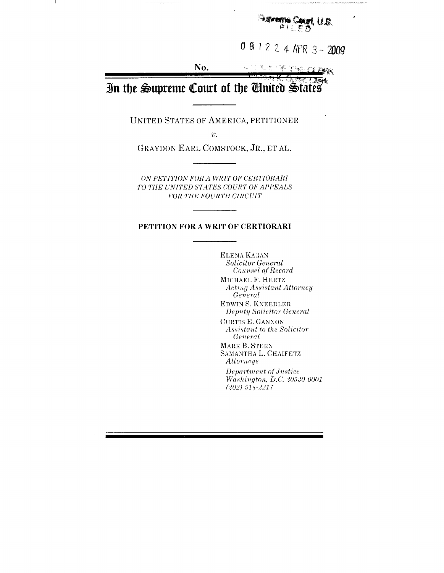me Caurt, U.S.

 $081224$  APR 3 - 2009

No.  $\sim$ OF THE **CLERA** 

**Sark** In the Supreme Court of the United States

**UNITED STATES OF AMERICA, PETITIONER**

 $v$ .

**GRAYDON EARL COMSTOCK, JR., ET AL.**

*ON PETITION FOR A WRIT OF CERTIORARI TO THE UNITED STATES COURT OF APPEALS FOR THE FOURTH CIRCUIT* 

#### **PETITION FOR A WRIT OF CERTIORARI**

**ELENA KAGAN** *Solicitor General Cou'wsel q/'Record*

**MICHAEL F. HERTZ**  $Acting Assistant\,$ *General*

**EDWIN S. KNEEI)LER** *Depnty Solicitor General*

CURTIS E. **GANNON**  $A$ *ssistant to the Solicitor*  $General$ **MARK B. STERN SAMANTHA L. CHAIFETZ**

*Attorneys*  $Department of Justice$ *Washington, D.C. 20530-0001 (202) 514-2217*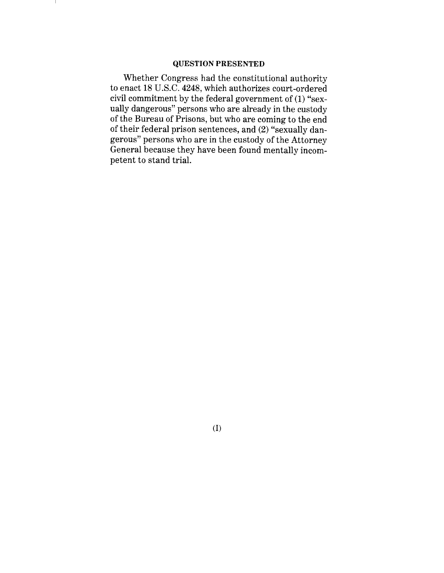#### QUESTION PRESENTED

Whether Congress had the constitutional authority to enact 18 U.S.C. 4248, which authorizes court-ordered civil commitment by the federal government of (1) "sexually dangerous" persons who are already in the custody of the Bureau of Prisons, but who are coming to the end of their federal prison sentences, and (2) "sexually dangerous" persons who are in the custody of the Attorney General because they have been found mentally incompetent to stand trial.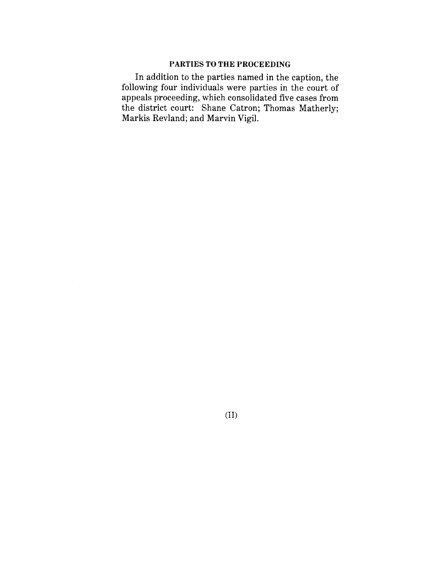## PARTIES TO THE PROCEEDING

In addition to the parties named in the caption, the following four individuals were parties in the court of appeals proceeding, which consolidated five cases from the district court: Shane Catron; Thomas Matherly; Markis Revland; and Marvin Vigil.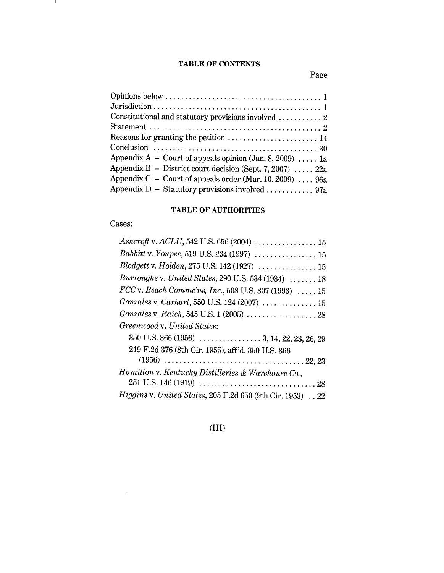# **TABLE OF CONTENTS**

Page

| Appendix A – Court of appeals opinion (Jan. 8, 2009)  1a  |
|-----------------------------------------------------------|
| Appendix B - District court decision (Sept. 7, 2007)  22a |
| Appendix C – Court of appeals order (Mar. 10, 2009)  96a  |
| Appendix D - Statutory provisions involved  97a           |

# **TABLE OF AUTHORITIES**

Cases:

- J.

| Ashcroft v. ACLU, 542 U.S. 656 (2004)  15                  |
|------------------------------------------------------------|
| Babbitt v. Youpee, 519 U.S. 234 (1997)  15                 |
| Blodgett v. Holden, 275 U.S. 142 (1927)  15                |
| Burroughs v. United States, 290 U.S. 534 (1934)  18        |
| $FCC$ v. Beach Commc'ns, Inc., 508 U.S. 307 (1993)  15     |
| Gonzales v. Carhart, 550 U.S. 124 (2007)  15               |
| Gonzales v. Raich, 545 U.S. 1 (2005)  28                   |
| Greenwood v. United States:                                |
|                                                            |
| 219 F.2d 376 (8th Cir. 1955), aff'd, 350 U.S. 366          |
|                                                            |
| Hamilton v. Kentucky Distilleries & Warehouse Co.,         |
|                                                            |
| Higgins v. United States, 205 F.2d 650 (9th Cir. 1953)  22 |

(III)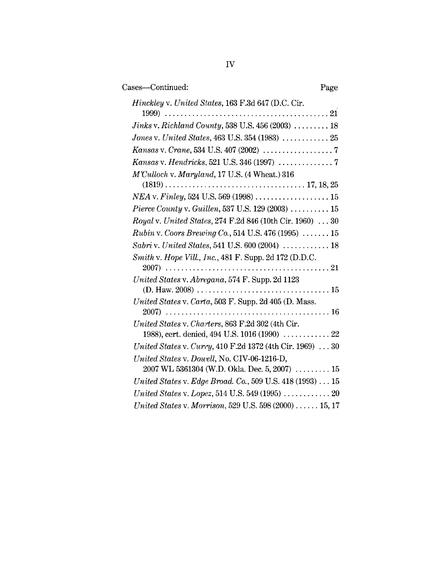| Cases—Continued:                                                                            | Page |
|---------------------------------------------------------------------------------------------|------|
| <i>Hinckley v. United States, 163 F.3d 647 (D.C. Cir.</i>                                   |      |
|                                                                                             |      |
| <i>Jinks v. Richland County,</i> 538 U.S. 456 (2003) $\ldots \ldots \ldots 18$              |      |
| Jones v. United States, 463 U.S. 354 (1983)  25                                             |      |
|                                                                                             |      |
|                                                                                             |      |
| $M^\prime\text{Culloch v.}$ Maryland, 17 U.S. (4 Wheat.) 316                                |      |
|                                                                                             |      |
| Pierce County v. Guillen, 537 U.S. 129 (2003) $\ldots \ldots \ldots 15$                     |      |
| <i>Royal v. United States, 274 F.2d 846 (10th Cir. 1960)</i> 30                             |      |
| <i>Rubin v. Coors Brewing Co.</i> , 514 U.S. 476 (1995) $\ldots \ldots 15$                  |      |
| <i>Sabri</i> v. <i>United States</i> , 541 U.S. 600 (2004) $\ldots \ldots \ldots \ldots 18$ |      |
| Smith v. Hope Vill., Inc., 481 F. Supp. 2d 172 (D.D.C.<br>2007)                             |      |
| United States v. Abregana, 574 F. Supp. 2d 1123                                             |      |

| 1 lette County V. Challen, 331 U.S. 129 (2003) $\ldots \ldots \ldots$ 13                                                                            |
|-----------------------------------------------------------------------------------------------------------------------------------------------------|
| <i>Royal v. United States, 274 F.2d 846 (10th Cir. 1960)</i> 30                                                                                     |
| <i>Rubin</i> v. Coors Brewing Co., 514 U.S. 476 (1995) $\ldots \ldots 15$                                                                           |
| Sabri v. United States, 541 U.S. 600 (2004)  18                                                                                                     |
| Smith v. Hope Vill., Inc., 481 F. Supp. 2d 172 (D.D.C.                                                                                              |
|                                                                                                                                                     |
| United States v. Abregana, 574 F. Supp. 2d 1123<br>$(D. Haw. 2008) \ldots \ldots \ldots \ldots \ldots \ldots \ldots \ldots \ldots \ldots \ldots 15$ |
| United States v. Carta, 503 F. Supp. 2d 405 (D. Mass.                                                                                               |
|                                                                                                                                                     |
| United States v. Charters, 863 F.2d 302 (4th Cir.                                                                                                   |
| 1988), cert. denied, 494 U.S. 1016 (1990)  22                                                                                                       |
| <i>United States v. Curry,</i> 410 F.2d 1372 (4th Cir. 1969)  30                                                                                    |
| United States v. Dowell, No. CIV-06-1216-D,                                                                                                         |
| 2007 WL 5361304 (W.D. Okla. Dec. 5, 2007)  15                                                                                                       |
| United States v. Edge Broad. Co., 509 U.S. 418 (1993) 15                                                                                            |
| United States v. Lopez, 514 U.S. 549 (1995) $\ldots \ldots \ldots \ldots 20$                                                                        |
| United States v. Morrison, 529 U.S. 598 (2000)  15, 17                                                                                              |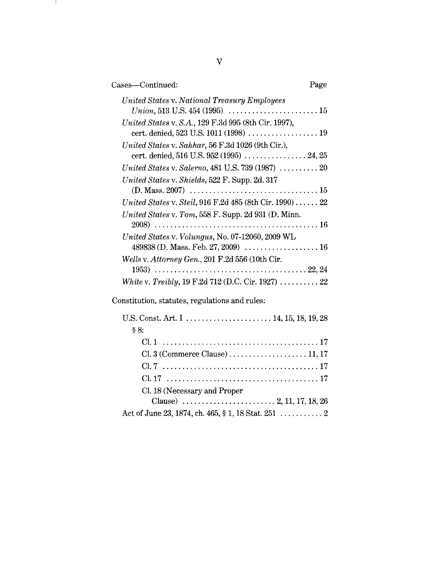| Cases-Continued:<br>Page                                                                       |  |
|------------------------------------------------------------------------------------------------|--|
| United States v. National Treasury Employees                                                   |  |
| United States v. S.A., 129 F.3d 995 (8th Cir. 1997),                                           |  |
| United States v. Sahhar, 56 F.3d 1026 (9th Cir.),<br>cert. denied, 516 U.S. 952 (1995)  24, 25 |  |
|                                                                                                |  |
| United States v. Shields, 522 F. Supp. 2d. 317                                                 |  |
| United States v. Steil, 916 F.2d 485 (8th Cir. 1990)  22                                       |  |
| United States v. Tom, 558 F. Supp. 2d 931 (D. Minn.                                            |  |
| United States v. Volungus, No. 07-12060, 2009 WL                                               |  |
| Wells v. Attorney Gen., 201 F.2d 556 (10th Cir.                                                |  |
|                                                                                                |  |
| <i>White v. Treibly,</i> 19 F.2d 712 (D.C. Cir. 1927) $\ldots \ldots \ldots$ 22                |  |
| Constitution, statutes, regulations and rules:                                                 |  |
| U.S. Const. Art. I        . 14, 15, 18, 19, 28<br>§ 8:                                         |  |
|                                                                                                |  |

C1. 3 (Commerce Clause) ....................11, 17 C1.7 ........................................ 17 C1. 17 ....................................... 17

Clause) ........................ 2, 11, 17, 18, 26

Act of June 23, 1874, ch. 465, § 1, 18 Stat. 251 ............... 2

C1. 18 (Necessary and Proper

#### $\boldsymbol{\mathrm{V}}$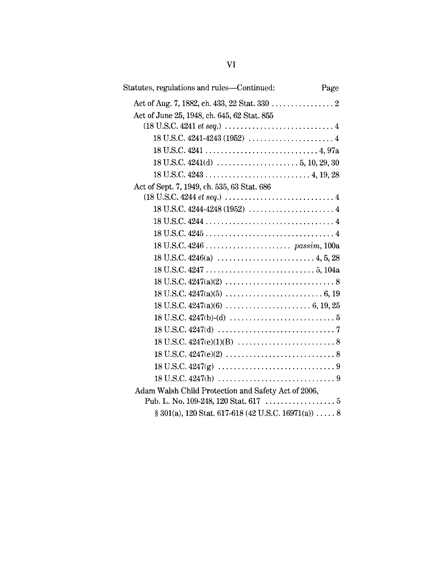| Statutes, regulations and rules—Continued:                                                                                            | Page |
|---------------------------------------------------------------------------------------------------------------------------------------|------|
|                                                                                                                                       |      |
| Act of June 25, 1948, ch. 645, 62 Stat. 855                                                                                           |      |
| $(18 \text{ U.S.C. } 4241 \text{ et seq.}) \dots \dots \dots \dots \dots \dots \dots \dots \dots \dots \dots \dots \dots \dots \dots$ |      |
|                                                                                                                                       |      |
|                                                                                                                                       |      |
|                                                                                                                                       |      |
|                                                                                                                                       |      |
| Act of Sept. 7, 1949, ch. 535, 63 Stat. 686                                                                                           |      |
| $(18 \text{ U.S.C. } 4244 \text{ et seq.}) \dots \dots \dots \dots \dots \dots \dots \dots \dots \dots \dots \dots \dots$             |      |
|                                                                                                                                       |      |
|                                                                                                                                       |      |
|                                                                                                                                       |      |
|                                                                                                                                       |      |
|                                                                                                                                       |      |
|                                                                                                                                       |      |
|                                                                                                                                       |      |
|                                                                                                                                       |      |
|                                                                                                                                       |      |
|                                                                                                                                       |      |
|                                                                                                                                       |      |
|                                                                                                                                       |      |
|                                                                                                                                       |      |
|                                                                                                                                       |      |
|                                                                                                                                       |      |
| Adam Walsh Child Protection and Safety Act of 2006,                                                                                   |      |
|                                                                                                                                       |      |
| $\S 301(a)$ , 120 Stat. 617-618 (42 U.S.C. 16971(a))  8                                                                               |      |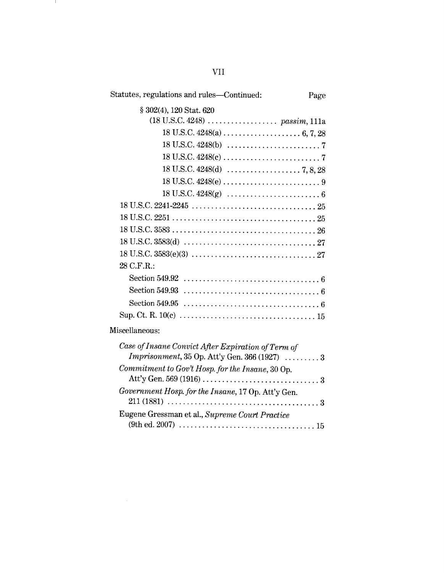| Statutes, regulations and rules—Continued:                                                                                                               | Page |
|----------------------------------------------------------------------------------------------------------------------------------------------------------|------|
| § 302(4), 120 Stat. 620                                                                                                                                  |      |
| $(18 \text{ U.S.C. } 4248) \dots \dots \dots \dots \dots \dots \text{ passim}, 111a$                                                                     |      |
|                                                                                                                                                          |      |
|                                                                                                                                                          |      |
|                                                                                                                                                          |      |
|                                                                                                                                                          |      |
|                                                                                                                                                          |      |
|                                                                                                                                                          |      |
|                                                                                                                                                          |      |
|                                                                                                                                                          |      |
|                                                                                                                                                          |      |
|                                                                                                                                                          |      |
|                                                                                                                                                          |      |
| 28 C.F.R.:                                                                                                                                               |      |
|                                                                                                                                                          |      |
|                                                                                                                                                          |      |
|                                                                                                                                                          |      |
|                                                                                                                                                          |      |
| Miscellaneous:                                                                                                                                           |      |
| Case of Insane Convict After Expiration of Term of                                                                                                       |      |
| <i>Imprisonment</i> , $35$ Op. Att'y Gen. $366$ (1927) $\ldots \ldots \ldots 3$                                                                          |      |
| Commitment to Gov't Hosp. for the Insane, 30 Op.                                                                                                         |      |
|                                                                                                                                                          |      |
| Government Hosp. for the Insane, 17 Op. Att'y Gen.<br>$211 (1881) \ldots \ldots \ldots \ldots \ldots \ldots \ldots \ldots \ldots \ldots \ldots \ldots 3$ |      |
| Eugene Gressman et al., Supreme Court Practice                                                                                                           |      |
|                                                                                                                                                          |      |

 $\label{eq:2} \frac{1}{\sqrt{2}}\left(\frac{1}{\sqrt{2}}\right)^2\left(\frac{1}{\sqrt{2}}\right)^2\left(\frac{1}{\sqrt{2}}\right)^2.$ 

VII

and the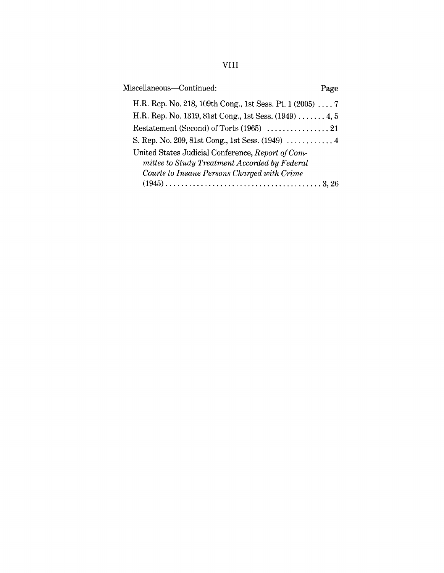| Miscellaneous-Continued:                                                                                                                          | Page |
|---------------------------------------------------------------------------------------------------------------------------------------------------|------|
| H.R. Rep. No. 218, 109th Cong., 1st Sess. Pt. 1 (2005)  7                                                                                         |      |
| H.R. Rep. No. 1319, 81st Cong., 1st Sess. (1949)  4, 5                                                                                            |      |
|                                                                                                                                                   |      |
|                                                                                                                                                   |      |
| United States Judicial Conference, Report of Com-<br>mittee to Study Treatment Accorded by Federal<br>Courts to Insane Persons Charged with Crime |      |
|                                                                                                                                                   |      |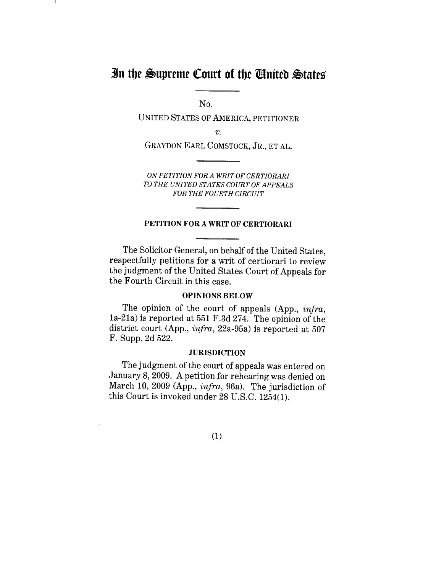# **In the Supreme Court of the Cinited States**

No.

UNITED STATES OF AMERICA, PETITIONER

 $v$ .

GRAYDON EARL COMSTOCK, JR., ET AL.

*ON PETITION FOR A WRIT OF CERTIORARI TO THE UNITED STATES COURT OF APPEALS FOR THE FOURTH CIRCUIT*

#### PETITION FOR A WRIT OF CERTIORARI

The Solicitor General, on behalf of the United States, respectfully petitions for a writ of certiorari to review the judgment of the United States Court of Appeals for the Fourth Circuit in this case.

#### OPINIONS BELOW

The opinion of the court of appeals (App., *infra,* 1a-21a) is reported at 551 F.3d 274. The opinion of the district court (App., *infra,* 22a-95a) is reported at 507 F. Supp. 2d 522.

## **JURISDICTION**

The judgment of the court of appeals was entered on January 8, 2009. A petition for rehearing was denied on March 10, 2009 (App., *infra,* 96a). The jurisdiction of this Court is invoked under 28 U.S.C. 1254(1).

(1)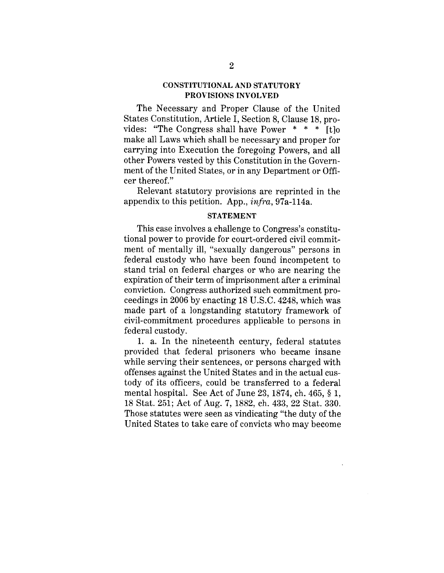## CONSTITUTIONAL AND STATUTORY PROVISIONS INVOLVED

The Necessary and Proper Clause of the United States Constitution, Article I, Section 8, Clause 18, provides: "The Congress shall have Power  $* * *$  [t]o make all Laws which shall be necessary and proper for carrying into Execution the foregoing Powers, and all other Powers vested by this Constitution in the Government of the United States, or in any Department or Officer thereof."

Relevant statutory provisions are reprinted in the appendix to this petition. App., *infra,* 97a-114a.

#### STATEMENT

This case involves a challenge to Congress's constitutional power to provide for court-ordered civil commitment of mentally ill, "sexually dangerous" persons in federal custody who have been found incompetent to stand trial on federal charges or who are nearing the expiration of their term of imprisonment after a criminal conviction. Congress authorized such commitment proceedings in 2006 by enacting 18 U.S.C. 4248, which was made part of a longstanding statutory framework of civil-commitment procedures applicable to persons in federal custody.

1. a. In the nineteenth century, federal statutes provided that federal prisoners who became insane while serving their sentences, or persons charged with offenses against the United States and in the actual custody of its officers, could be transferred to a federal mental hospital. See Act of June 23, 1874, ch. 465, § 1, 18 Stat. 251; Act of Aug. 7, 1882, ch. 433, 22 Stat. 330. Those statutes were seen as vindicating "the duty of the United States to take care of convicts who may become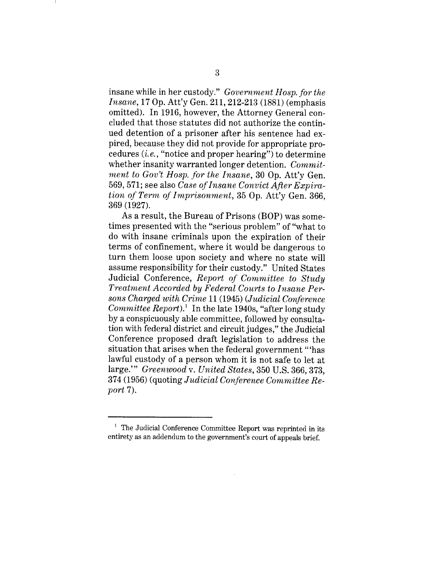insane while in her custody." *Government Hosp. for the Insane*, 17 Op. Att'y Gen. 211, 212-213 (1881) (emphasis omitted). In 1916, however, the Attorney General concluded that those statutes did not authorize the continued detention of a prisoner after his sentence had expired, because they did not provide for appropriate procedures  $(i.e., "notice and proper hearing")$  to determine whether insanity warranted longer detention. *Commitment to Gov't Hosp. for the Insane,* 30 Op. Att'y Gen. 569, 571; see also *Case of Insane Convict After Expiration of Term of Imprisonment,* 35 Op. Att'y Gen. 366, 369 (1927).

As a result, the Bureau of Prisons (BOP) was sometimes presented with the "serious problem" of "what to do with insane criminals upon the expiration of their terms of confinement, where it would be dangerous to turn them loose upon society and where no state will assume responsibility for their custody." United States Judicial Conference, *Report of Committee to Study Treatment Accorded by Federal Courts to Insane Persons Charged with Crime* 11 (1945) *(Judicial Conference Committee Report*).<sup>1</sup> In the late 1940s, "after long study by a conspicuously able committee, followed by consultation with federal district and circuit judges," the Judicial Conference proposed draft legislation to address the situation that arises when the federal government "'has lawful custody of a person whom it is not safe to let at large.'" *Greenwood v. United States,* 350 U.S. 366, 373, 374 (1956) (quoting *Judicial Conference Committee Report* 7).

<sup>&</sup>lt;sup>1</sup> The Judicial Conference Committee Report was reprinted in its entirety as an addendum to the government's court of appeals brief.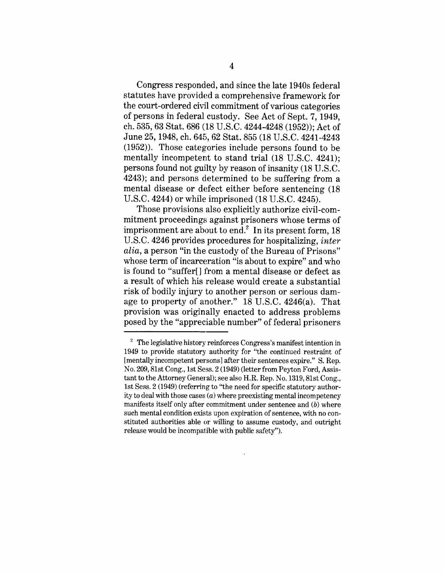Congress responded, and since the late 1940s federal statutes have provided a comprehensive framework for the court-ordered civil commitment of various categories of persons in federal custody. See Act of Sept. 7, 1949, ch. 535, 63 Stat. 686 (18 U.S.C. 4244-4248 (1952)); Act of June 25, 1948, ch. 645, 62 Stat. 855 (18 U.S.C. 4241-4243 (1952)). Those categories include persons found to be mentally incompetent to stand trial (18 U.S.C. 4241); persons found not guilty by reason of insanity (18 U.S.C. 4243); and persons determined to be suffering from a mental disease or defect either before sentencing (18 U.S.C. 4244) or while imprisoned (18 U.S.C. 4245).

Those provisions also explicitly authorize civil-commitment proceedings against prisoners whose terms of imprisonment are about to end.<sup>2</sup> In its present form,  $18$ U.S.C. 4246 provides procedures for hospitalizing, *inter alia,* a person "in the custody of the Bureau of Prisons" whose term of incarceration "is about to expire" and who is found to "suffer[] from a mental disease or defect as a result of which his release would create a substantial risk of bodily injury to another person or serious damage to property of another." 18 U.S.C. 4246(a). That provision was originally enacted to address problems posed by the "appreciable number" of federal prisoners

 $2$  The legislative history reinforces Congress's manifest intention in 1949 to provide statutory authority for "the continued restraint of [mentally incompetent persons] after their sentences expire." S. Rep. No. 209, 81st Cong., 1st Sess. 2 (1949) (letter from Peyton Ford, Assistant to the Attorney General); see also H.R. Rep. No. 1319, 81st Cong., 1st Sess. 2 (1949) (referring to "the need for specific statutory authority to deal with those cases  $(a)$  where preexisting mental incompetency manifests itself only after commitment under sentence and (b) where such mental condition exists upon expiration of sentence, with no constituted authorities able or willing to assume custody, and outright release would be incompatible with public safety").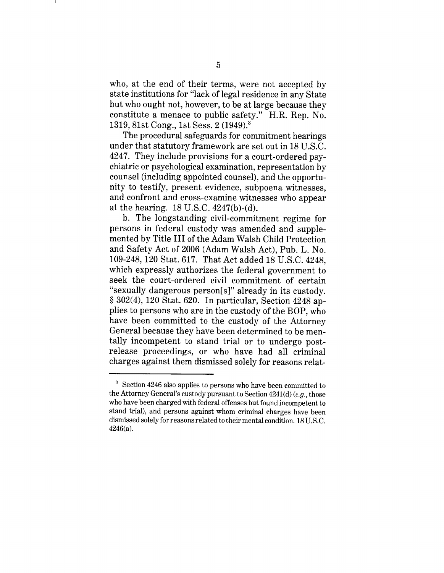who, at the end of their terms, were not accepted by state institutions for "lack of legal residence in any State but who ought not, however, to be at large because they constitute a menace to public safety." H.R. Rep. No. 1319, 81st Cong., 1st Sess. 2 (1949).3

The procedural safeguards for commitment hearings under that statutory framework are set out in 18 U.S.C. 4247. They include provisions for a court-ordered psychiatric or psychological examination, representation by counsel (including appointed counsel), and the opportunity to testify, present evidence, subpoena witnesses, and confront and cross-examine witnesses who appear at the hearing. 18 U.S.C. 4247(b)-(d).

b. The longstanding civil-commitment regime for persons in federal custody was amended and supplemented by Title III of the Adam Walsh Child Protection and Safety Act of 2006 (Adam Walsh Act), Pub. L. No. 109-248, 120 Stat. 617. That Act added 18 U.S.C. 4248, which expressly authorizes the federal government to seek the court-ordered civil commitment of certain "sexually dangerous person[s]" already in its custody. § 302(4), 120 Stat. 620. In particular, Section 4248 applies to persons who are in the custody of the BOP, who have been committed to the custody of the Attorney General because they have been determined to be mentally incompetent to stand trial or to undergo postrelease proceedings, or who have had all criminal charges against them dismissed solely for reasons relat-

<sup>3</sup> Section 4246 also applies to persons who have been committed to the Attorney General's custody pursuant to Section 4241(d) *(e.g.,* those who have been charged with federal offenses but found incompetent to stand trial), and persons against whom criminal charges have been dismissed solely for reasons related to their mental condition. 18 U.S.C. 4246(a).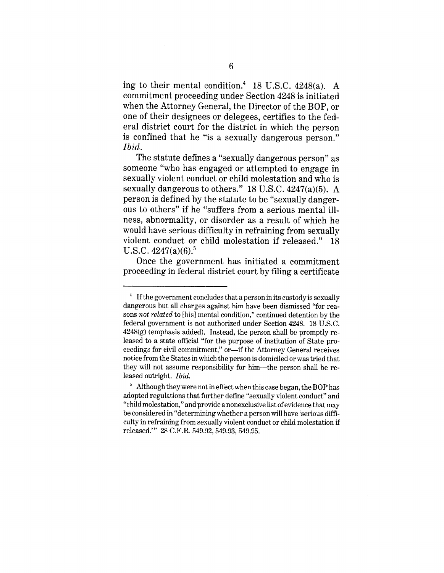ing to their mental condition.<sup>4</sup> 18 U.S.C. 4248(a). A commitment proceeding under Section 4248 is initiated when the Attorney General, the Director of the BOP, or one of their designees or delegees, certifies to the federal district court for the district in which the person is confined that he "is a sexually dangerous person." *Ibid.*

The statute defines a "sexually dangerous person" as someone "who has engaged or attempted to engage in sexually violent conduct or child molestation and who is sexually dangerous to others." 18 U.S.C. 4247(a)(5). A person is defined by the statute to be "sexually dangerous to others" if he "suffers from a serious mental illness, abnormality, or disorder as a result of which he would have serious difficulty in refraining from sexually violent conduct or child molestation if released." 18 U.S.C.  $4247(a)(6)$ .<sup>5</sup>

Once the government has initiated a commitment proceeding in federal district court by filing a certificate

<sup>&</sup>lt;sup>4</sup> If the government concludes that a person in its custody is sexually dangerous but all charges against him have been dismissed "for reasons *not related* to [his] mental condition," continued detention by the federal government is not authorized under Section 4248. 18 U.S.C.  $4248(g)$  (emphasis added). Instead, the person shall be promptly released to a state official "for the purpose of institution of State proceedings for civil commitment," or—if the Attorney General receives notice from the States in which the person is domiciled or was tried that they will not assume responsibility for him--the person shall be released outright. *Ibid.*

 $5$  Although they were not in effect when this case began, the BOP has adopted regulations that further define "sexually violent conduct" and "child molestation," and provide a nonexclusive list of evidence that may be considered in "determining whether a person will have 'serious difficulty in refraining from sexually violent conduct or child molestation if released.'" 28 C.F.R. 549.92, 549.93, 549.95.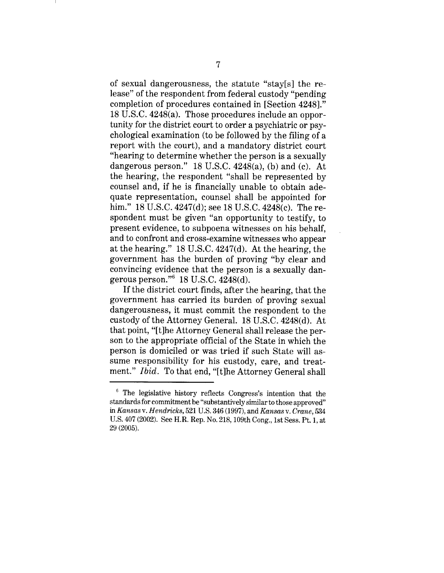of sexual dangerousness, the statute "stay[s] the release" of the respondent from federal custody "pending completion of procedures contained in [Section 4248]." 18 U.S.C. 4248(a). Those procedures include an opportunity for the district court to order a psychiatric or psychological examination (to be followed by the filing of a report with the court), and a mandatory district court "hearing to determine whether the person is a sexually dangerous person."  $18$  U.S.C.  $4248(a)$ , (b) and (c). At the hearing, the respondent "shall be represented by counsel and, if he is financially unable to obtain adequate representation, counsel shall be appointed for him." 18 U.S.C. 4247(d); see 18 U.S.C. 4248(c). The respondent must be given "an opportunity to testify, to present evidence, to subpoena witnesses on his behalf, and to confront and cross-examine witnesses who appear at the hearing." 18 U.S.C. 4247(d). At the hearing, the government has the burden of proving "by clear and convincing evidence that the person is a sexually dangerous person." $6 \text{ 18 U.S.C. } 4248(d)$ .

If the district court finds, after the hearing, that the government has carried its burden of proving sexual dangerousness, it must commit the respondent to the custody of the Attorney General. 18 U.S.C. 4248(d). At that point, "[t]he Attorney General shall release the person to the appropriate official of the State in which the person is domiciled or was tried if such State will assume responsibility for his custody, care, and treatment." *Ibid.* To that end, "[t]he Attorney General shall

<sup>&</sup>lt;sup>6</sup> The legislative history reflects Congress's intention that the standards for commitment be "substantively similar to those approved" in *Kansas v. Hendricks,* 521 U.S. 346 (1997), and *Kansas v. Crane, 534* U.S. 407 (2002). See H.R. Rep. No. 218, 109th Cong., 1st Sess. Pt. 1, at 29 (2005).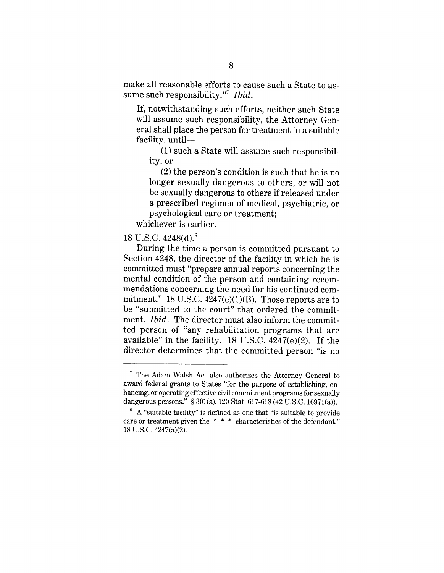make all reasonable efforts to cause such a State to assume such responsibility."<sup>7</sup> *Ibid.* 

If, notwithstanding such efforts, neither such State will assume such responsibility, the Attorney General shall place the person for treatment in a suitable facility, until-

(1) such a State will assume such responsibility; or

(2) the person's condition is such that he is no longer sexually dangerous to others, or will not be sexually dangerous to others if released under a prescribed regimen of medical, psychiatric, or psychological care or treatment;

whichever is earlier.

# 18 U.S.C.  $4248(d)$ .<sup>8</sup>

During the time a person is committed pursuant to Section 4248, the director of the facility in which he is committed must "prepare annual reports concerning the mental condition of the person and containing recommendations concerning the need for his continued commitment." 18 U.S.C.  $4247(e)(1)(B)$ . Those reports are to be "submitted to the court" that ordered the commitment. *Ibid.* The director must also inform the committed person of "any rehabilitation programs that are available" in the facility. 18 U.S.C. 4247(e)(2). If the director determines that the committed person "is no

<sup>7</sup> The Adam Walsh Act also authorizes the Attorney General to award federal grants to States "for the purpose of establishing, enhancing, or operating effective civil commitment programs for sexually dangerous persons." § 301(a), 120 Stat. 617-618 (42 U.S.C. 16971(a)).

 $8\,$  A "suitable facility" is defined as one that "is suitable to provide care or treatment given the \* \* \* characteristics of the defendant." 18 U.S.C. 4247(a)(2).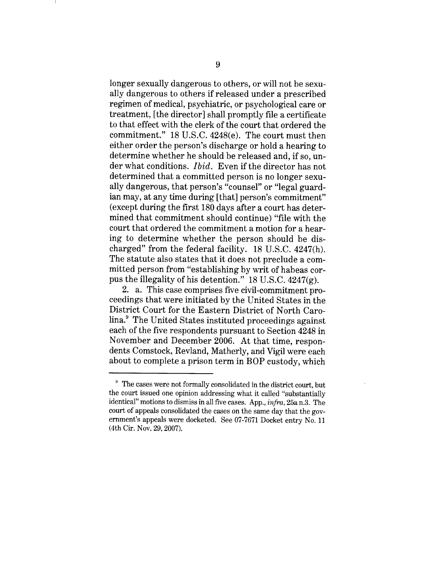longer sexually dangerous to others, or will not be sexually dangerous to others if released under a prescribed regimen of medical, psychiatric, or psychological care or treatment, [the director] shall promptly file a certificate to that effect with the clerk of the court that ordered the commitment." 18 U.S.C. 4248(e). The court must then either order the person's discharge or hold a hearing to determine whether he should be released and, if so, under what conditions. *Ibid.* Even if the director has not determined that a committed person is no longer sexually dangerous, that person's "counsel" or "legal guardian may, at any time during [that] person's commitment" (except during the first 180 days after a court has determined that commitment should continue) "file with the court that ordered the commitment a motion for a hearing to determine whether the person should be discharged" from the federal facility. 18 U.S.C. 4247(h). The statute also states that it does not preclude a committed person from "establishing by writ of habeas corpus the illegality of his detention." 18 U.S.C. 4247(g).

2. a. This case comprises five civil-commitment proceedings that were initiated by the United States in the District Court for the Eastern District of North Carolina.9 The United States instituted proceedings against each of the five respondents pursuant to Section 4248 in November and December 2006. At that time, respondents Comstock, Revland, Matherly, and Vigil were each about to complete a prison term in BOP custody, which

<sup>&</sup>lt;sup>9</sup> The cases were not formally consolidated in the district court, but the court issued one opinion addressing what it called "substantially identical" motions to dismiss in all five cases. App., *infra,* 25a n.3. The court of appeals consolidated the cases on the same day that the government's appeals were docketed. See 07-7671 Docket entry No. 11 (4th Cir. Nov. 29, 2007).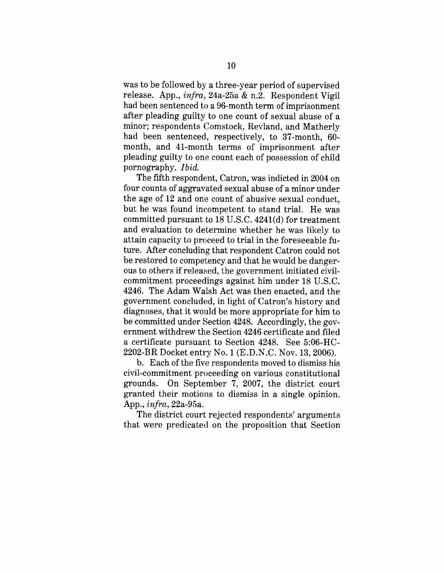was to be followed by a three-year period of supervised release. App., *infra,* 24a-25a & n.2. Respondent Vigil had been sentenced to a 96-month term of imprisonment after pleading guilty to one count of sexual abuse of a minor; respondents Comstock, Revland, and Matherly had been sentenced, respectively, to 37-month, 60 month, and 41-month terms of imprisonment after pleading guilty to one count each of possession of child pornography. *Ibid.*

The fifth respondent, Catron, was indicted in 2004 on four counts of aggravated sexual abuse of a minor under the age of 12 and one count of abusive sexual conduct, but he was found incompetent to stand trial. He was committed pursuant to 18 U.S.C. 4241(d) for treatment and evaluation to determine whether he was likely to attain capacity to proceed to trial in the foreseeable future. After concluding that respondent Catron could not be restored to competency and that he would be dangerous to others if released, the government initiated civilcommitment proceedings against him under 18 U.S.C. 4246. The Adam Walsh Act was then enacted, and the government concluded, in light of Catron's history and diagnoses, that it would be more appropriate for him to be committed under Section 4248. Accordingly, the government withdrew the Section 4246 certificate and filed a certificate pursuant to Section 4248. See 5:06-HC-2202-BR Docket entry No. 1 (E.D.N.C. Nov. 13, 2006).

b. Each of the five respondents moved to dismiss his civil-commitment proceeding on various constitutional grounds. On September 7, 2007, the district court granted their motions to dismiss in a single opinion. App., *infra,* 22a-95a.

The district court rejected respondents' arguments that were predicated on the proposition that Section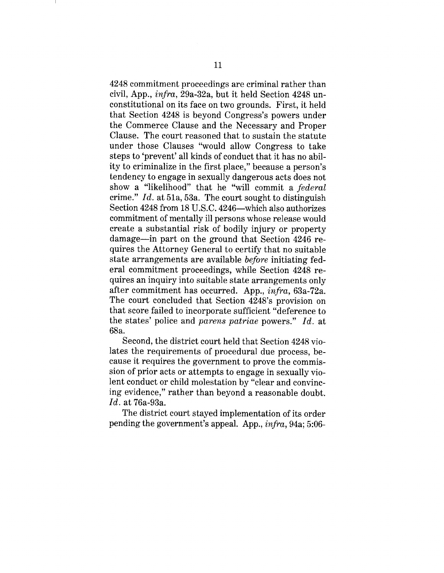4248 commitment proceedings are criminal rather than civil, App., *infra,* 29a-32a, but it held Section 4248 unconstitutional on its face on two grounds. First, it held that Section 4248 is beyond Congress's powers under the Commerce Clause and the Necessary and Proper Clause. The court reasoned that to sustain the statute under those Clauses "would allow Congress to take steps to 'prevent' all kinds of conduct that it has no ability to criminalize in the first place," because a person's tendency to engage in sexually dangerous acts does not show a "likelihood" that he "will commit a *federal* crime." *Id.* at 51a, 53a. The court sought to distinguish Section 4248 from 18 U.S.C. 4246-which also authorizes commitment of mentally ill persons whose release would create a substantial risk of bodily injury or property damage--in part on the ground that Section 4246 requires the Attorney General to certify that no suitable state arrangements are available *before* initiating federal commitment proceedings, while Section 4248 requires an inquiry into suitable state arrangements only after commitment has occurred. App., *infra,* 63a-72a. The court concluded that Section 4248's provision on that score failed to incorporate sufficient "deference to the states' police and *parens patriae* powers." *Id.* at 68a.

Second, the district court held that Section 4248 violates the requirements of procedural due process, because it requires the government to prove the commission of prior acts or attempts to engage in sexually violent conduct or child molestation by "clear and convincing evidence," rather than beyond a reasonable doubt. *Id.* at 76a-93a.

The district court stayed implementation of its order pending the government's appeal. App., *infra,* 94a; 5:06-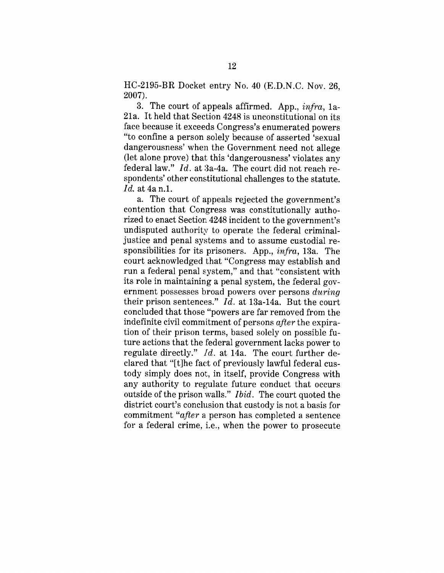HC-2195-BR Docket entry No. 40 (E.D.N.C. Nov. 26, 2007).

3. The court of appeals affirmed. App., *infra,* la-21a. It held that Section 4248 is unconstitutional on its face because it exceeds Congress's enumerated powers "to confine a person solely because of asserted 'sexual dangerousness' when the Government need not allege (let alone prove) that this 'dangerousness' violates any federal law." *Id.* at 3a-4a. The court did not reach respondents' other constitutional challenges to the statute. *Id.* at 4a n.1.

a. The court of appeals rejected the government's contention that Congress was constitutionally authorized to enact Section 4248 incident to the government's undisputed authority to operate the federal criminaljustice and penal systems and to assume custodial responsibilities for its prisoners. App., *infra,* 13a. The court acknowledged that "Congress may establish and run a federal penal system," and that "consistent with its role in maintaining a penal system, the federal government possesses broad powers over persons *during* their prison sentences." *Id.* at 13a-14a. But the court concluded that those "powers are far removed from the indefinite civil commitment of persons *after* the expiration of their prison terms, based solely on possible future actions that the federal government lacks power to regulate directly."  $Id.$  at 14a. The court further declared that "[t]he fact of previously lawful federal custody simply does not, in itself, provide Congress with any authority to regulate future conduct that occurs outside of the prison walls." *Ibid.* The court quoted the district court's conclusion that custody is not a basis for commitment *"after* a person has completed a sentence for a federal crime, i.e., when the power to prosecute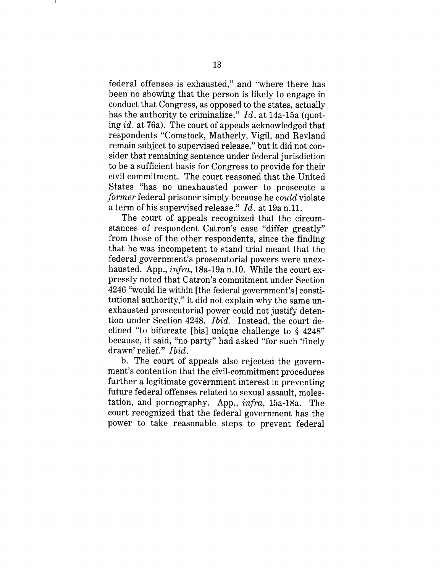federal offenses is exhausted," and "where there has been no showing that the person is likely to engage in conduct that Congress, as opposed to the states, actually has the authority to criminalize." *Id.* at 14a-15a (quoting *id.* at 76a). The court of appeals acknowledged that respondents "Comstock, Matherly, Vigil, and Revland remain subject to supervised release," but it did not consider that remaining sentence under federal jurisdiction to be a sufficient basis for Congress to provide for their civil commitment. The court reasoned that the United States "has no unexhausted power to prosecute a *former* federal prisoner simply because he *could* violate a term of his supervised release." *Id.* at 19a n.11.

The court of appeals recognized that the circumstances of respondent Catron's case "differ greatly" from those of the other respondents, since the finding that he was incompetent to stand trial meant that the federal government's prosecutorial powers were unexhausted. App., *infra,* 18a-19a n.10. While the court expressly noted that Catron's commitment under Section 4246 %vould lie within [the federal government's] constitutional authority," it did not explain why the same unexhausted prosecutorial power could not justify detention under Section 4248. *Ibid.* Instead, the court declined "to bifurcate [his] unique challenge to § 4248" because, it said, "no party" had asked "for such 'finely drawn' relief." *Ibid.*

b. The court of appeals also rejected the government's contention that the civil-commitment procedures further a legitimate government interest in preventing future federal offenses related to sexual assault, molestation, and pornography. App., *infra,* 15a-18a. The court recognized that the federal government has the power to take reasonable steps to prevent federal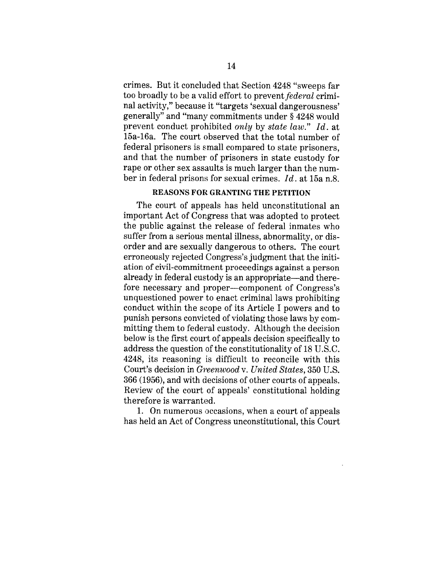crimes. But it concluded that Section 4248 "sweeps far too broadly to be a valid effort to *prevent federal* criminal activity," because it "targets 'sexual dangerousness' generally" and "many commitments under § 4248 would prevent conduct prohibited *only* by *state law." Id.* at 15a-16a. The court observed that the total number of federal prisoners is small compared to state prisoners, and that the number of prisoners in state custody for rape or other sex assaults is much larger than the number in federal prisons for sexual crimes. *Id.* at 15a n.8.

## REASONS FOR GRANTING THE PETITION

The court of appeals has held unconstitutional an important Act of Congress that was adopted to protect the public against the release of federal inmates who suffer from a serious mental illness, abnormality, or disorder and are sexually dangerous to others. The court erroneously rejected Congress's judgment that the initiation of civil-commitment proceedings against a person already in federal custody is an appropriate—and therefore necessary and proper--component of Congress's unquestioned power to enact criminal laws prohibiting conduct within the scope of its Article I powers and to punish persons convicted of violating those laws by committing them to federal custody. Although the decision below is the first court of appeals decision specifically to address the question of the constitutionality of 18 U.S.C. 4248, its reasoning is difficult to reconcile with this Court's decision in *Greenwood v. United States,* 350 U.S. 366 (1956), and with decisions of other courts of appeals. Review of the court of appeals' constitutional holding therefore is warranted.

1. On numerous occasions, when a court of appeals has held an Act of Congress unconstitutional, this Court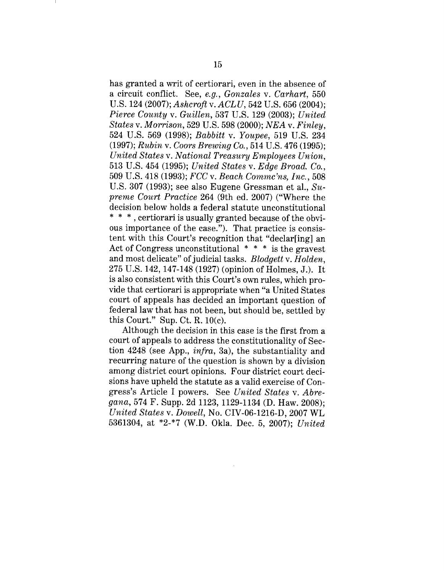has granted a writ of certiorari, even in the absence of a circuit conflict. See, *e.g., Gonzales v. Carhart,* 550 U.S. 124 (2007); *Ashcrofl v. ACLU,* 542 U.S. 656 (2004); *Pierce County v. Guillen,* 537 U.S. 129 (2003); *United States v. Morrison,* 529 U.S. 598 (2000); *NEA v. Finley,* 524 U.S. 569 (1998); *Babbitt v. Youpee,* 519 U.S. 234 (1997); *Rubin v. Coors Brewing Co.,* 514 U.S. 476 (1995); *United States v. National Treasury Employees Union,* 513 U.S. 454 (1995); *United States v. Edge Broad. Co.,* 509 U.S. 418 (1993); *FCC v. Beach Commc'ns, Inc.,* 508 U.S. 307 (1993); see also Eugene Gressman et al., *Supreme Court Practice* 264 (9th ed. 2007) ("Where the decision below holds a federal statute unconstitutional **\* \*** \*, certiorari is usually granted because of the obvious importance of the case."). That practice is consistent with this Court's recognition that "declar[ing] an Act of Congress unconstitutional \* \* \* is the gravest and most delicate" of judicial tasks. *Blodgett v. Holden,* 275 U.S. 142, 147-148 (1927) (opinion of Holmes, J.). It is also consistent with this Court's own rules, which provide that certiorari is appropriate when "a United States court of appeals has decided an important question of federal law that has not been, but should be, settled by this Court." Sup. Ct. R. 10(c).

Although the decision in this case is the first from a court of appeals to address the constitutionality of Section 4248 (see App., *infra,* 3a), the substantiality and recurring nature of the question is shown by a division among district court opinions. Four district court decisions have upheld the statute as a valid exercise of Congress's Article I powers. See *United States v. Abregana,* 574 F. Supp. 2d 1123, 1129-1134 (D. Haw. 2008); *United States v. Dowell,* No. CIV-06-1216-D, 2007 WL 5361304, at \*2-\*7 (W.D. Okla. Dec. 5, 2007); *United*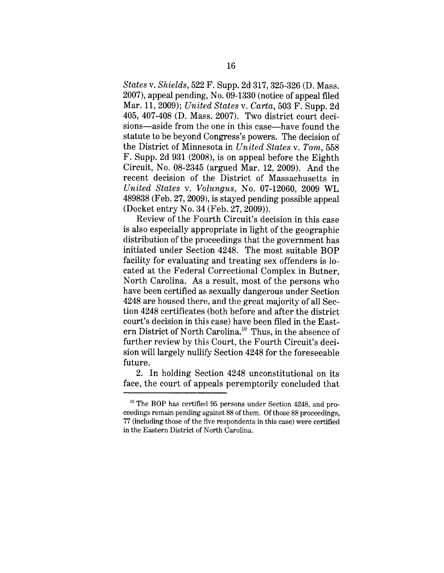*States v. Shields,* 522 F. Supp. 2d 317, 325-326 (D. Mass. 2007), appeal pending, No. 09-1330 (notice of appeal filed Mar. 11, 2009); *United States v. Carta,* 503 F. Supp. 2d 405, 407-408 (D. Mass. 2007). Two district court decisions—aside from the one in this case—have found the statute to be beyond Congress's powers. The decision of the District of Minnesota in *United States v. Tom,* 558 F. Supp. 2d 931 (2008), is on appeal before the Eighth Circuit, No. 08-2345 (argued Mar. 12, 2009). And the recent decision of the District of Massachusetts in *United States v. Volungus,* No. 07-12060, 2009 WL 489838 (Feb. 27, 2009), is stayed pending possible appeal (Docket entry No. 34 (Feb. 27, 2009)).

Review of the Fourth Circuit's decision in this case is also especially appropriate in light of the geographic distribution of the proceedings that the government has initiated under Section 4248. The most suitable BOP facility for evaluating and treating sex offenders is located at the Federal Correctional Complex in Butner, North Carolina. As a result, most of the persons who have been certified as sexually dangerous under Section 4248 are housed there, and the great majority of all Section 4248 certificates (both before and after the district court's decision in this case) have been filed in the Eastern District of North Carolina.1° Thus, in the absence of further review by this Court, the Fourth Circuit's decision will largely nullify Section 4248 for the foreseeable future.

2. In holding Section 4248 unconstitutional on its face, the court of appeals peremptorily concluded that

<sup>&</sup>lt;sup>10</sup> The BOP has certified 95 persons under Section 4248, and proceedings remain pending against 88 of them. Of those 88 proceedings, 77 (including those of the rive respondents in this case) were certified in the Eastern District of North Carolina.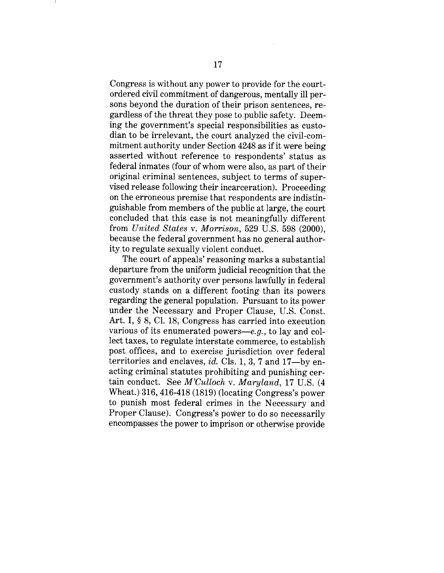Congress is without any power to provide for the courtordered civil commitment of dangerous, mentally ill persons beyond the duration of their prison sentences, regardless of the threat they pose to public safety. Deeming the government's special responsibilities as custodian to be irrelevant, the court analyzed the civil-commitment authority under Section 4248 as if it were being asserted without reference to respondents' status as federal inmates (four of whom were also, as part of their original criminal sentences, subject to terms of supervised release following their incarceration). Proceeding on the erroneous premise that respondents are indistinguishable from members of the public at large, the court concluded that this case is not meaningfully different from *United States v. Morrison,* 529 U.S. 598 (2000), because the federal government has no general authority to regulate sexually violent conduct.

The court of appeals' reasoning marks a substantial departure from the uniform judicial recognition that the government's authority over persons lawfully in federal custody stands on a different footing than its powers regarding the general population. Pursuant to its power under the Necessary and Proper Clause, U.S. Const. Art. I, § 8, C1. 18, Congress has carried into execution various of its enumerated powers- $-e.g.,$  to lay and collect taxes, to regulate interstate commerce, to establish post offices, and to exercise jurisdiction over federal territories and enclaves, *id.* Cls. 1, 3, 7 and 17--by enacting criminal statutes prohibiting and punishing certain conduct. See *M'Culloch v. Maryland,* 17 U.S. (4 Wheat.) 316,416-418 (1819) (locating Congress's power to punish most federal crimes in the Necessary and Proper Clause). Congress's power to do so necessarily encompasses the power to imprison or otherwise provide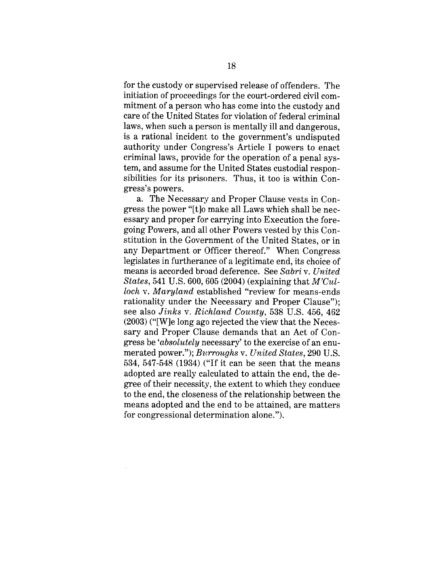for the custody or supervised release of offenders. The initiation of proceedings for the court-ordered civil commitment of a person who has come into the custody and care of the United States for violation of federal criminal laws, when such a person is mentally ill and dangerous, is a rational incident to the government's undisputed authority under Congress's Article I powers to enact criminal laws, provide for the operation of a penal system, and assume for the United States custodial responsibilities for its prisoners. Thus, it too is within Congress's powers.

a. The Necessary and Proper Clause vests in Congress the power "[t]o make all Laws which shall be necessary and proper for carrying into Execution the foregoing Powers, and all other Powers vested by this Constitution in the Government of the United States, or in any Department or Officer thereof." When Congress legislates in furtherance of a legitimate end, its choice of means is accorded broad deference. See *Sabri v. United States,* 541 U.S. 600, 605 (2004) (explaining that *M'Culloch v. Maryland* established "review for means-ends rationality under the Necessary and Proper Clause"); see also *Jinks v. Richland County,* 538 U.S. 456, 462 (2003) ("[W]e long ago rejected the view that the Necessary and Proper Clause demands that an Act of Congress be *'absolutely* necessary' to the exercise of an enumerated power."); *Burroughs v. United States,* 290 U.S. 534, 547-548 (1934) ("If it can be seen that the means adopted are really calculated to attain the end, the degree of their necessity, the extent to which they conduce to the end, the closeness of the relationship between the means adopted and the end to be attained, are matters for congressional determination alone.").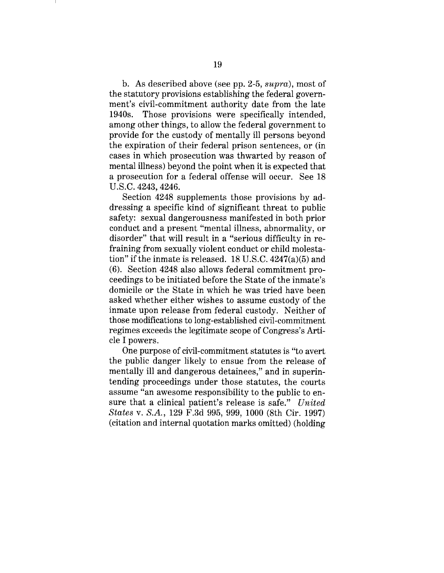b. As described above (see pp. 2-5, *supra),* most of the statutory provisions establishing the federal government's civil-commitment authority date from the late 1940s. Those provisions were specifically intended, among other things, to allow the federal government to provide for the custody of mentally ill persons beyond the expiration of their federal prison sentences, or (in cases in which prosecution was thwarted by reason of mental illness) beyond the point when it is expected that a prosecution for a federal offense will occur. See 18 U.S.C. 4243, 4246.

Section 4248 supplements those provisions by addressing a specific kind of significant threat to public safety: sexual dangerousness manifested in both prior conduct and a present "mental illness, abnormality, or disorder" that will result in a "serious difficulty in refraining from sexually violent conduct or child molestation" if the inmate is released. 18 U.S.C. 4247(a)(5) and (6). Section 4248 also allows federal commitment proceedings to be initiated before the State of the inmate's domicile or the State in which he was tried have been asked whether either wishes to assume custody of the inmate upon release from federal custody. Neither of those modifications to long-established civil-commitment regimes exceeds the legitimate scope of Congress's Article I powers.

One purpose of civil-commitment statutes is "to avert the public danger likely to ensue from the release of mentally ill and dangerous detainees," and in superintending proceedings under those statutes, the courts assume "an awesome responsibility to the public to ensure that a clinical patient's release is safe." *United States v. S.A.,* 129 F.3d 995, 999, 1000 (8th Cir. 1997) (citation and internal quotation marks omitted) (holding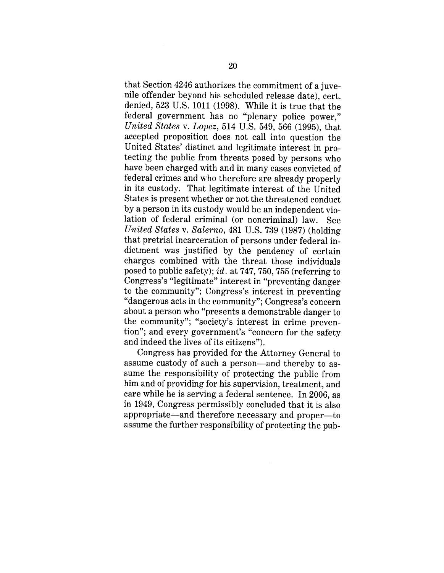that Section 4246 authorizes the commitment of a juvenile offender beyond his scheduled release date), cert. denied, 523 U.S. 1011 (1998). While it is true that the federal government has no "plenary police power," *United States v. Lopez,* 514 U.S. 549, 566 (1995), that accepted proposition does not call into question the United States' distinct and legitimate interest in protecting the public from threats posed by persons who have been charged with and in many cases convicted of federal crimes and who therefore are already properly in its custody. That legitimate interest of the United States is present whether or not the threatened conduct by a person in its custody would be an independent violation of federal criminal (or noncriminal) law. See *United States v. Salerno,* 481 U.S. 739 (1987) (holding that pretrial incarceration of persons under federal indictment was justified by the pendency of certain charges combined with the threat those individuals posed to public safety); *id.* at 747, 750, 755 (referring to Congress's "legitimate" interest in "preventing danger to the community"; Congress's interest in preventing "dangerous acts in the community"; Congress's concern about a person who "presents a demonstrable danger to the community"; "society's interest in crime prevention"; and every government's "concern for the safety and indeed the lives of its citizens").

Congress has provided for the Attorney General to assume custody of such a person—and thereby to assume the responsibility of protecting the public from him and of providing for his supervision, treatment, and care while he is serving a federal sentence. In 2006, as in 1949, Congress permissibly concluded that it is also appropriate—and therefore necessary and proper—to assume the further responsibility of protecting the pub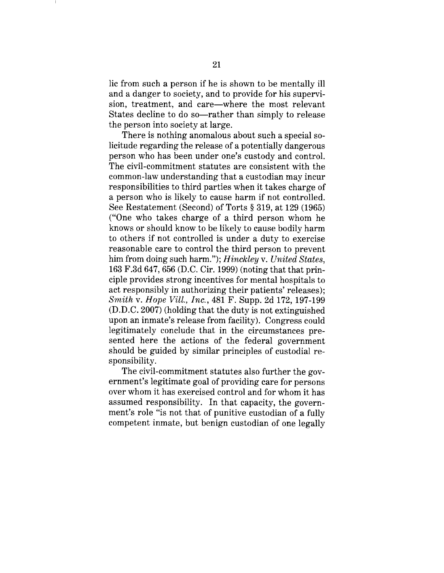lie from such a person if he is shown to be mentally ill and a danger to society, and to provide for his supervision, treatment, and care—where the most relevant States decline to do so—rather than simply to release the person into society at large.

There is nothing anomalous about such a special solicitude regarding the release of a potentially dangerous person who has been under one's custody and control. The civil-commitment statutes are consistent with the common-law understanding that a custodian may incur responsibilities to third parties when it takes charge of a person who is likely to cause harm if not controlled. See Restatement (Second) of Torts § 319, at 129 (1965) ("One who takes charge of a third person whom he knows or should know to be likely to cause bodily harm to others if not controlled is under a duty to exercise reasonable care to control the third person to prevent him from doing such harm."); *Hinckley v. United States,* 163 F.3d 647, 656 (D.C. Cir. 1999) (noting that that principle provides strong incentives for mental hospitals to act responsibly in authorizing their patients' releases); *Smith v. Hope Vill., Inc.,* 481 F. Supp. 2d 172, 197-199 (D.D.C. 2007) (holding that the duty is not extinguished upon an inmate's release from facility). Congress could legitimately conclude that in the circumstances presented here the actions of the federal government should be guided by similar principles of custodial responsibility.

The civil-commitment statutes also further the government's legitimate goal of providing care for persons over whom it has exercised control and for whom it has assumed responsibility. In that capacity, the government's role "is not that of punitive custodian of a fully competent inmate, but benign custodian of one legally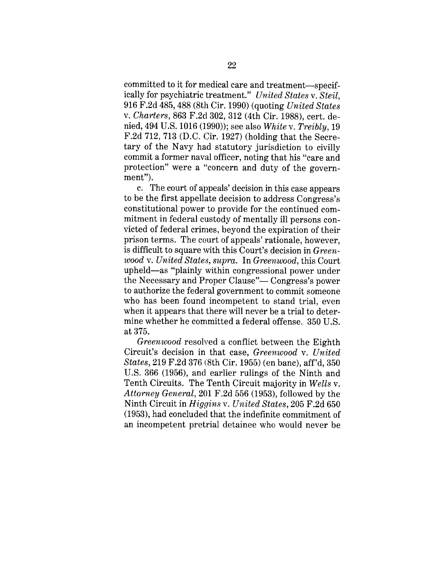committed to it for medical care and treatment--specifically for psychiatric treatment." *United States v. Steil,* 916 F.2d 485, 488 (8th Cir. 1990) (quoting *United States v. Charters,* 863 F.2d 302, 312 (4th Cir. 1988), cert. denied, 494 U.S. 1016 (1990)); see also *White v. Treibly,* 19 F.2d 712, 713 (D.C. Cir. 1927) (holding that the Secretary of the Navy had statutory jurisdiction to civilly commit a former naval officer, noting that his "care and protection" were a "concern and duty of the government").

c. The court of appeals' decision in this case appears to be the first appellate decision to address Congress's constitutional power to provide for the continued commitment in federal custody of mentally ill persons convicted of federal crimes, beyond the expiration of their prison terms. The court of appeals' rationale, however, is difficult to square with this Court's decision in *Greenwood v. United States, supra.* In *Greenwood,* this Court upheld—as "plainly within congressional power under the Necessary and Proper Clause"— Congress's power to authorize the federal government to commit someone who has been found incompetent to stand trial, even when it appears that there will never be a trial to determine whether he committed a federal offense. 350 U.S. at 375.

*Greenwood* resolved a conflict between the Eighth Circuit's decision in that case, *Greenwood v. United States,* 219 F.2d 376 (8th Cir. 1955) (en banc), aft'd, 350 U.S. 366 (1956), and earlier rulings of the Ninth and Tenth Circuits. The Tenth Circuit majority in *Wells v.* Attorney General, 201 F.2d 556 (1953), followed by the Ninth Circuit in *Higgins v. United States,* 205 F.2d 650 (1953), had concluded that the indefinite commitment of an incompetent pretrial detainee who would never be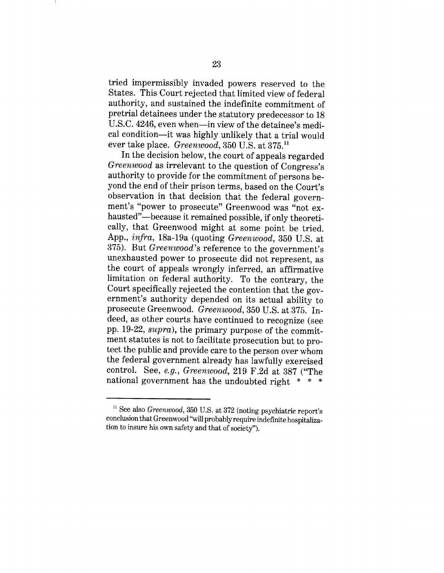tried impermissibly invaded powers reserved to the States. This Court rejected that limited view of federal authority, and sustained the indefinite commitment of pretrial detainees under the statutory predecessor to 18 U.S.C. 4246, even when--in view of the detainee's medical condition--it was highly unlikely that a trial would ever take place. *Greenwood,* 350 U.S. at 375.11

In the decision below, the court of appeals regarded *Greenwood* as irrelevant to the question of Congress's authority to provide for the commitment of persons beyond the end of their prison terms, based on the Court's observation in that decision that the federal government's "power to prosecute" Greenwood was "not exhausted"-because it remained possible, if only theoretically, that Greenwood might at some point be tried. App., *infra,* 18a-19a (quoting *Greenwood,* 350 U.S. at 375). But *Greenwood's* reference to the government's unexhausted power to prosecute did not represent, as the court of appeals wrongly inferred, an affirmative limitation on federal authority. To the contrary, the Court specifically rejected the contention that the government's authority depended on its actual ability to prosecute Greenwood. *Greenwood,* 350 U.S. at 375. Indeed, as other courts have continued to recognize (see pp. 19-22, *supra),* the primary purpose of the commitment statutes is not to facilitate prosecution but to protect the public and provide care to the person over whom the federal government already has lawfully exercised control. See, *e.g., Greenwood,* 219 F.2d at 387 ("The national government has the undoubted right  $* * *$ 

<sup>&</sup>lt;sup>11</sup> See also *Greenwood*, 350 U.S. at 372 (noting psychiatric report's conclusion that Greenwood "will probably require indefinite hospitalization to insure his own safety and that of society").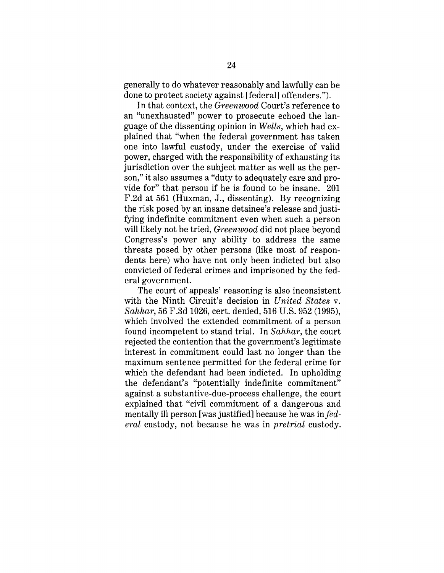generally to do whatever reasonably and lawfully can be done to protect society against [federal] offenders.").

In that context, the *Greenwood* Court's reference to an "unexhausted" power to prosecute echoed the language of the dissenting opinion in *Wells,* which had explained that "when the federal government has taken one into lawful custody, under the exercise of valid power, charged with the responsibility of exhausting its jurisdiction over the subject matter as well as the person," it also assumes a "duty to adequately care and provide for" that person if he is found to be insane. 201 F.2d at 561 (Huxman, J., dissenting). By recognizing the risk posed by an insane detainee's release and justifying indefinite commitment even when such a person will likely not be tried, *Greenwood* did not place beyond Congress's power any ability to address the same threats posed by other persons (like most of respondents here) who have not only been indicted but also convicted of federal crimes and imprisoned by the federal government.

The court of appeals' reasoning is also inconsistent with the Ninth Circuit's decision in *United States v. Sahhar,* 56 F.3d 1026, cert. denied, 516 U.S. 952 (1995), which involved the extended commitment of a person found incompetent to stand trial. In *Sahhar,* the court rejected the contention that the government's legitimate interest in commitment could last no longer than the maximum sentence permitted for the federal crime for which the defendant had been indicted. In upholding the defendant's "potentially indefinite commitment" against a substantive-due-process challenge, the court explained that "civil commitment of a dangerous and mentally ill person [was justified] because he was *in federal* custody, not because he was in *pretrial* custody.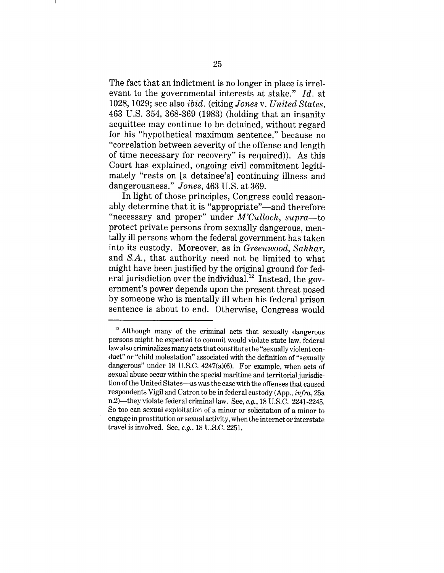The fact that an indictment is no longer in place is irrelevant to the governmental interests at stake." *Id.* at 1028, 1029; see also *ibid.* (citing *Jones v. United States,* 463 U.S. 354, 368-369 (1983) (holding that an insanity acquittee may continue to be detained, without regard for his "hypothetical maximum sentence," because no "correlation between severity of the offense and length of time necessary for recovery" is required)). As this Court has explained, ongoing civil commitment legitimately "rests on [a detainee's] continuing illness and dangerousness." *Jones,* 463 U.S. at 369.

In light of those principles, Congress could reasonably determine that it is "appropriate"—and therefore "necessary and proper" under *M'Culloch, supra--to* protect private persons from sexually dangerous, mentally ill persons whom the federal government has taken into its custody. Moreover, as in *Greenwood, Sahhar,* and *S.A.,* that authority need not be limited to what might have been justified by the original ground for federal jurisdiction over the individual.<sup>12</sup> Instead, the government's power depends upon the present threat posed by someone who is mentally ill when his federal prison sentence is about to end. Otherwise, Congress would

 $12$  Although many of the criminal acts that sexually dangerous persons might be expected to commit would violate state law, federal law also criminalizes many acts that constitute the "sexually violent conduct" or "child molestation" associated with the definition of "sexually dangerous" under 18 U.S.C. 4247(a)(6). For example, when acts of sexual abuse occur within the special maritime and territorial jurisdiction of the United States--as was the case with the offenses that caused respondents Vigil and Catron to be in federal custody (App., *infra,* 25a n.2)--they violate federal criminal law. See, *e.g.,* 18 U.S.C. 2241-2245. So too can sexual exploitation of a minor or solicitation of a minor to engage in prostitution or sexual activity, when the internet or interstate travel is involved. See, *e.g.,* 18 U.S.C. 2251.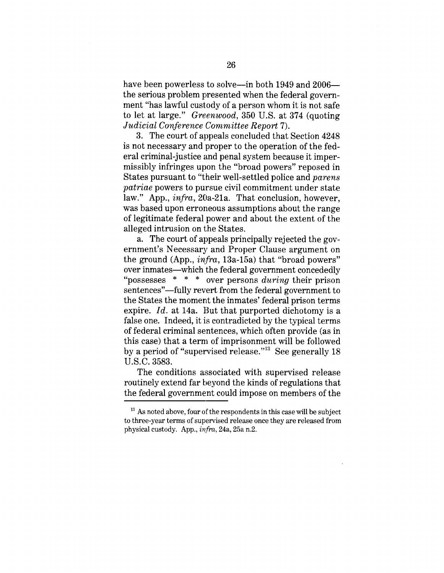have been powerless to solve--in both 1949 and 2006the serious problem presented when the federal government "has lawful custody of a person whom it is not safe to let at large." *Greenwood,* 350 U.S. at 374 (quoting *Judicial Conference Committee Report* 7).

3. The court of appeals concluded that Section 4248 is not necessary and proper to the operation of the federal criminal-justice and penal system because it impermissibly infringes upon the "broad powers" reposed in States pursuant to "their well-settled police and *parens patriae* powers to pursue civil commitment under state law." App., *infra,* 20a-21a. That conclusion, however, was based upon erroneous assumptions about the range of legitimate federal power and about the extent of the alleged intrusion on the States.

a. The court of appeals principally rejected the government's Necessary and Proper Clause argument on the ground (App., *infra,* 13a-15a) that "broad powers" over inmates--which the federal government concededly "possesses \* \* \* over persons *during* their prison sentences"—fully revert from the federal government to the States the moment the inmates' federal prison terms expire. *Id.* at 14a. But that purported dichotomy is a false one. Indeed, it is contradicted by the typical terms of federal criminal sentences, which often provide (as in this case) that a term of imprisonment will be followed by a period of "supervised release.''13 See generally 18 U.S.C. 3583.

The conditions associated with supervised release routinely extend far beyond the kinds of regulations that the federal government could impose on members of the

 $13$  As noted above, four of the respondents in this case will be subject to three-year terms of supervised release once they are released from physical custody. App., *in.fra,* 24a, 25a n.2.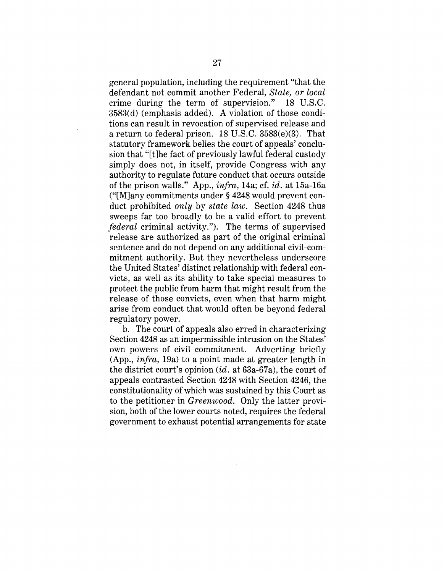general population, including the requirement "that the defendant not commit another Federal, *State, or local* crime during the term of supervision." 18 U.S.C. 3583(d) (emphasis added). A violation of those conditions can result in revocation of supervised release and a return to federal prison. 18 U.S.C. 3583(e)(3). That statutory framework belies the court of appeals' conclusion that "[t]he fact of previously lawful federal custody simply does not, in itself, provide Congress with any authority to regulate future conduct that occurs outside of the prison walls." App., *infra,* 14a; cf. *id.* at 15a-16a ("[M]any commitments under § 4248 would prevent conduct prohibited *only* by *state law.* Section 4248 thus sweeps far too broadly to be a valid effort to prevent *federal* criminal activity."). The terms of supervised release are authorized as part of the original criminal sentence and do not depend on any additional civil-commitment authority. But they nevertheless underscore the United States' distinct relationship with federal convicts, as well as its ability to take special measures to protect the public from harm that might result from the release of those convicts, even when that harm might arise from conduct that would often be beyond federal regulatory power.

b. The court of appeals also erred in characterizing Section 4248 as an impermissible intrusion on the States' own powers of civil commitment. Adverting briefly (App., *infra,* 19a) to a point made at greater length in the district court's opinion *(id.* at 63a-67a), the court of appeals contrasted Section 4248 with Section 4246, the constitutionality of which was sustained by this Court as to the petitioner in *Greenwood.* Only the latter provision, both of the lower courts noted, requires the federal government to exhaust potential arrangements for state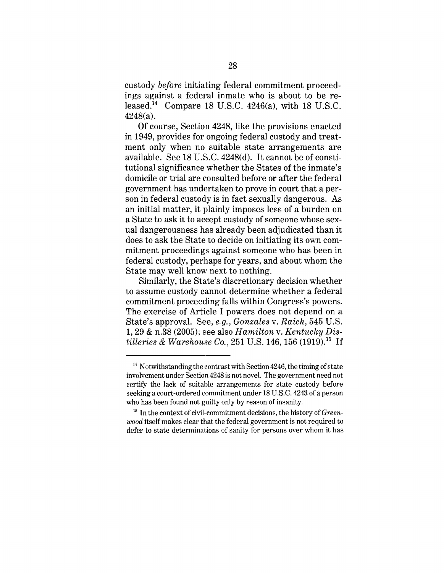custody *before* initiating federal commitment proceedings against a federal inmate who is about to be released.<sup>14</sup> Compare 18 U.S.C. 4246(a), with 18 U.S.C. 4248(a).

Of course, Section 4248, like the provisions enacted in 1949, provides for ongoing federal custody and treatment only when no suitable state arrangements are available. See 18 U.S.C. 4248(d). It cannot be of constitutional significance whether the States of the inmate's domicile or trial are consulted before or after the federal government has undertaken to prove in court that a person in federal custody is in fact sexually dangerous. As an initial matter, it plainly imposes less of a burden on a State to ask it to accept custody of someone whose sexual dangerousness has already been adjudicated than it does to ask the State to decide on initiating its own commitment proceedings against someone who has been in federal custody, perhaps for years, and about whom the State may well know next to nothing.

Similarly, the State's discretionary decision whether to assume custody cannot determine whether a federal commitment proceeding falls within Congress's powers. The exercise of Article I powers does not depend on a State's approval. See, *e.g., Gonzales v. Raich,* 545 U.S. 1, 29 & n.38 (2005); see also *Hamilton v. Kentucky Distilleries & Warehouse Co.,* 251 U.S. 146, 156 (1919).<sup>15</sup> If

<sup>&</sup>lt;sup>14</sup> Notwithstanding the contrast with Section 4246, the timing of state involvement under Section 4248 is not novel. The government need not certify the lack of suitable arrangements for state custody before seeking a court-ordered commitment under 18 U.S.C. 4243 of a person who has been found not guilty only by reason of insanity.

<sup>&</sup>lt;sup>15</sup> In the context of civil-commitment decisions, the history of *Greenwood* itself makes clear that the federal government is not required to defer to state determinations of sanity for persons over whom it has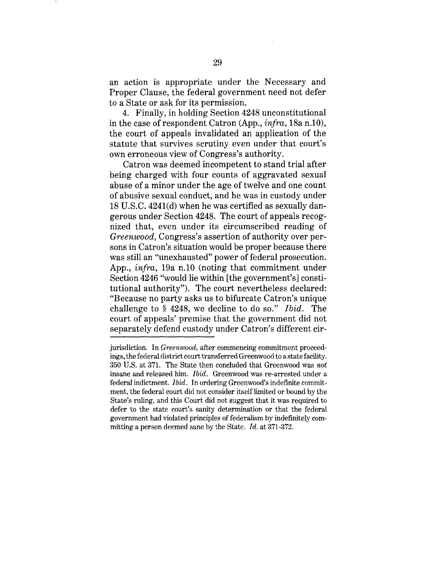an action is appropriate under the Necessary and Proper Clause, the federal government need not defer to a State or ask for its permission.

4. Finally, in holding Section 4248 unconstitutional in the case of respondent Catron (App., *infra,* 18a n.10), the court of appeals invalidated an application of the statute that survives scrutiny even under that court's own erroneous view of Congress's authority.

Catron was deemed incompetent to stand trial after being charged with four counts of aggravated sexual abuse of a minor under the age of twelve and one count of abusive sexual conduct, and he was in custody under 18 U.S.C. 4241(d) when he was certified as sexually dangerous under Section 4248. The court of appeals recognized that, even under its circumscribed reading of *Greenwood,* Congress's assertion of authority over persons in Catron's situation would be proper because there was still an "unexhausted" power of federal prosecution. App., *infra,* 19a n.10 (noting that commitment under Section 4246 "would lie within [the government's] constitutional authority"). The court nevertheless declared: "Because no party asks us to bifurcate Catron's unique challenge to § 4248, we decline to do so." *Ibid.* The court of appeals' premise that the government did not separately defend custody under Catron's different cir-

jurisdiction. In *Greenwood,* after commencing commitment proceedings, the federal district court transferred Greenwood to a state facility. 350 U.S. at 371. The State then concluded that Greenwood was *not* insane and released him. *Ibid.* Greenwood was re-arrested under a federal indictment. *Ibid.* In ordering Greenwood's indefinite commitment, the federal court did not consider itself limited or bound by the State's ruling, and this Court did not suggest that it was required to defer to the state court's sanity determination or that the federal government had violated principles of federalism by indefinitely committing a person deemed sane by the State. *Id.* at 371-372.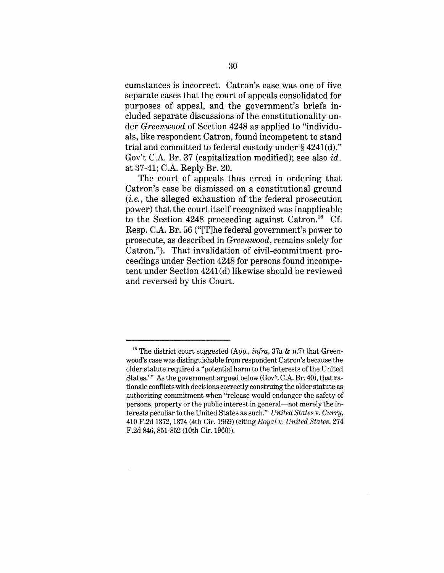cumstances is incorrect. Catron's case was one of five separate cases that the court of appeals consolidated for purposes of appeal, and the government's briefs included separate discussions of the constitutionality under *Greenwood* of Section 4248 as applied to "individuals, like respondent Catron, found incompetent to stand trial and committed to federal custody under § 4241(d)." Gov't C.A. Br. 37 (capitalization modified); see also *id.* at 37-41; C.A. Reply Br. 20.

The court of appeals thus erred in ordering that Catron's case be dismissed on a constitutional ground *(i.e.,* the alleged exhaustion of the federal prosecution power) that the court itself recognized was inapplicable to the Section 4248 proceeding against Catron.<sup>16</sup> Cf. Resp. C.A. Br. 56 ("IT]he federal government's power to prosecute, as described in *Greenwood,* remains solely for Catron."). That invalidation of civil-commitment proceedings under Section 4248 for persons found incompetent under Section 4241(d) likewise should be reviewed and reversed by this Court.

<sup>&</sup>lt;sup>16</sup> The district court suggested (App., *infra*, 37a & n.7) that Greenwood's case was distinguishable from respondent Catron's because the older statute required a "potential harm to the 'interests of the United States.'" As the government argued below (Gov't C.A. Br. 40), that rationale conflicts with decisions correctly construing the older statute as authorizing commitment when "release would endanger the safety of persons, property or the public interest in general--not merely the interests peculiar to the United States as such." *United States v. Curry,* 410 F.2d 1372, 1374 (4th Cir. 1969) (citing *Royal v. United States,* 274 F.2d 846, 851-852 (10th Cir. 1960)).